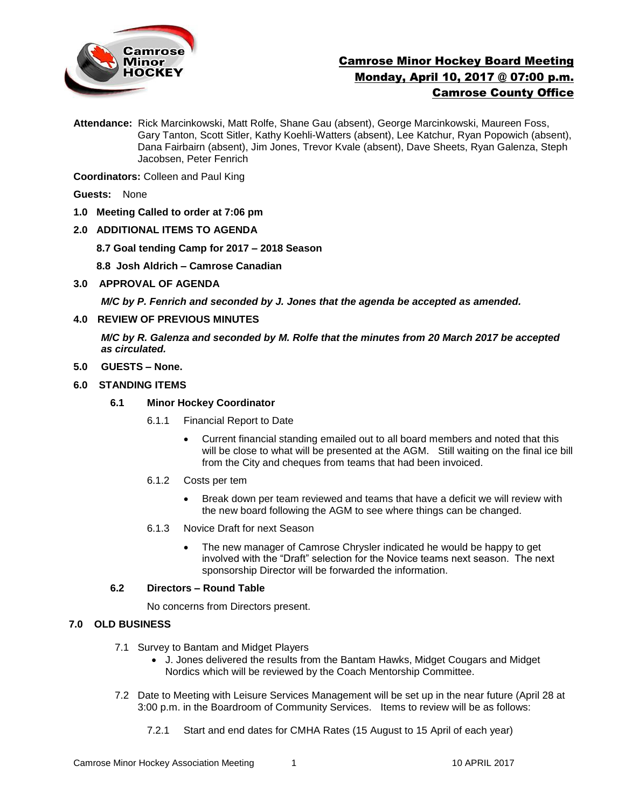

# Camrose Minor Hockey Board Meeting Monday, April 10, 2017 @ 07:00 p.m. Camrose County Office

**Attendance:** Rick Marcinkowski, Matt Rolfe, Shane Gau (absent), George Marcinkowski, Maureen Foss, Gary Tanton, Scott Sitler, Kathy Koehli-Watters (absent), Lee Katchur, Ryan Popowich (absent), Dana Fairbairn (absent), Jim Jones, Trevor Kvale (absent), Dave Sheets, Ryan Galenza, Steph Jacobsen, Peter Fenrich

**Coordinators:** Colleen and Paul King

**Guests:** None

**1.0 Meeting Called to order at 7:06 pm**

## **2.0 ADDITIONAL ITEMS TO AGENDA**

- **8.7 Goal tending Camp for 2017 – 2018 Season**
- **8.8 Josh Aldrich – Camrose Canadian**
- **3.0 APPROVAL OF AGENDA**

*M/C by P. Fenrich and seconded by J. Jones that the agenda be accepted as amended.* 

**4.0 REVIEW OF PREVIOUS MINUTES**

*M/C by R. Galenza and seconded by M. Rolfe that the minutes from 20 March 2017 be accepted as circulated.*

- **5.0 GUESTS – None.**
- **6.0 STANDING ITEMS**
	- **6.1 Minor Hockey Coordinator** 
		- 6.1.1 Financial Report to Date
			- Current financial standing emailed out to all board members and noted that this will be close to what will be presented at the AGM. Still waiting on the final ice bill from the City and cheques from teams that had been invoiced.
		- 6.1.2 Costs per tem
			- Break down per team reviewed and teams that have a deficit we will review with the new board following the AGM to see where things can be changed.
		- 6.1.3 Novice Draft for next Season
			- The new manager of Camrose Chrysler indicated he would be happy to get involved with the "Draft" selection for the Novice teams next season. The next sponsorship Director will be forwarded the information.

## **6.2 Directors – Round Table**

No concerns from Directors present.

## **7.0 OLD BUSINESS**

- 7.1 Survey to Bantam and Midget Players
	- J. Jones delivered the results from the Bantam Hawks, Midget Cougars and Midget Nordics which will be reviewed by the Coach Mentorship Committee.
- 7.2 Date to Meeting with Leisure Services Management will be set up in the near future (April 28 at 3:00 p.m. in the Boardroom of Community Services. Items to review will be as follows:
	- 7.2.1 Start and end dates for CMHA Rates (15 August to 15 April of each year)